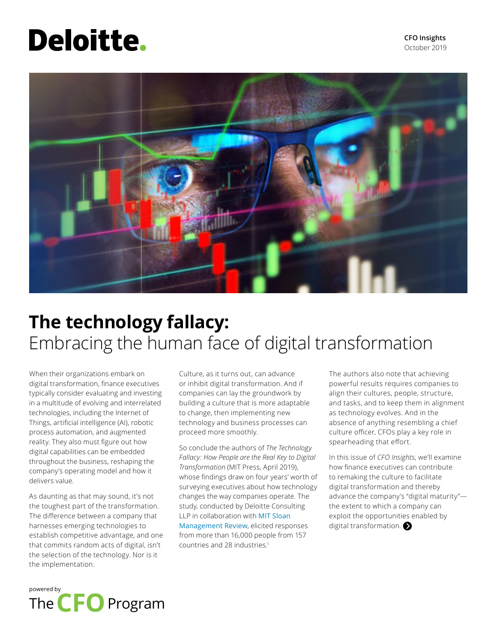# **Deloitte.**



# **The technology fallacy:** Embracing the human face of digital transformation

When their organizations embark on digital transformation, finance executives typically consider evaluating and investing in a multitude of evolving and interrelated technologies, including the Internet of Things, artificial intelligence (AI), robotic process automation, and augmented reality. They also must figure out how digital capabilities can be embedded throughout the business, reshaping the company's operating model and how it delivers value.

As daunting as that may sound, it's not the toughest part of the transformation. The difference between a company that harnesses emerging technologies to establish competitive advantage, and one that commits random acts of digital, isn't the selection of the technology. Nor is it the implementation.

Culture, as it turns out, can advance or inhibit digital transformation. And if companies can lay the groundwork by building a culture that is more adaptable to change, then implementing new technology and business processes can proceed more smoothly.

So conclude the authors of *The Technology Fallacy: How People are the Real Key to Digital Transformation* (MIT Press, April 2019), whose findings draw on four years' worth of surveying executives about how technology changes the way companies operate. The study, conducted by Deloitte Consulting LLP in collaboration with [MIT Sloan](https://sloanreview.mit.edu/)  [Management Review](https://sloanreview.mit.edu/), elicited responses from more than 16,000 people from 157 countries and 28 industries.<sup>1</sup>

The authors also note that achieving powerful results requires companies to align their cultures, people, structure, and tasks, and to keep them in alignment as technology evolves. And in the absence of anything resembling a chief culture officer, CFOs play a key role in spearheading that effort.

In this issue of *CFO Insights*, we'll examine how finance executives can contribute to remaking the culture to facilitate digital transformation and thereby advance the company's "digital maturity" the extent to which a company can exploit the opportunities enabled by digital transformation.

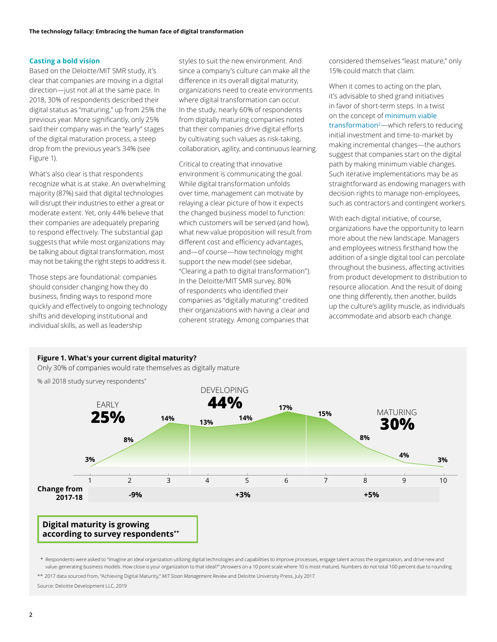#### **Casting a bold vision**

Based on the Deloitte/MIT SMR study, it's clear that companies are moving in a digital direction—just not all at the same pace. In 2018, 30% of respondents described their digital status as "maturing," up from 25% the previous year. More significantly, only 25% said their company was in the "early" stages of the digital maturation process, a steep drop from the previous year's 34% (see Figure 1).

What's also clear is that respondents recognize what is at stake. An overwhelming majority (87%) said that digital technologies will disrupt their industries to either a great or moderate extent. Yet, only 44% believe that their companies are adequately preparing to respond effectively. The substantial gap suggests that while most organizations may be talking about digital transformation, most may not be taking the right steps to address it.

Those steps are foundational: companies should consider changing how they do business, finding ways to respond more quickly and effectively to ongoing technology shifts and developing institutional and individual skills, as well as leadership

styles to suit the new environment. And since a company's culture can make all the difference in its overall digital maturity, organizations need to create environments where digital transformation can occur. In the study, nearly 60% of respondents from digitally maturing companies noted that their companies drive digital efforts by cultivating such values as risk-taking, collaboration, agility, and continuous learning.

Critical to creating that innovative environment is communicating the goal. While digital transformation unfolds over time, management can motivate by relaying a clear picture of how it expects the changed business model to function: which customers will be served (and how), what new value proposition will result from different cost and efficiency advantages, and—of course—how technology might support the new model (see sidebar, "Clearing a path to digital transformation"). In the Deloitte/MIT SMR survey, 80% of respondents who identified their companies as "digitally maturing" credited their organizations with having a clear and coherent strategy. Among companies that

considered themselves "least mature," only 15% could match that claim.

When it comes to acting on the plan, it's advisable to shed grand initiatives in favor of short-term steps. In a twist on the concept of [minimum viable](https://www2.deloitte.com/content/dam/insights/us/articles/platform-strategy-new-level-business-trends/DUP_1048-Business-ecosystems-come-of-age_MASTER_FINAL.pdf)  [transformation](https://www2.deloitte.com/content/dam/insights/us/articles/platform-strategy-new-level-business-trends/DUP_1048-Business-ecosystems-come-of-age_MASTER_FINAL.pdf)2—which refers to reducing initial investment and time-to-market by making incremental changes—the authors suggest that companies start on the digital path by making minimum viable changes. Such iterative implementations may be as straightforward as endowing managers with decision rights to manage non-employees, such as contractors and contingent workers.

With each digital initiative, of course, organizations have the opportunity to learn more about the new landscape. Managers and employees witness firsthand how the addition of a single digital tool can percolate throughout the business, affecting activities from product development to distribution to resource allocation. And the result of doing one thing differently, then another, builds up the culture's agility muscle, as individuals accommodate and absorb each change.

#### **Figure 1. What's your current digital maturity?**

Only 30% of companies would rate themselves as digitally mature



% all 2018 study survey respondents\*

\* Respondents were asked to "Imagine an ideal organization utilizing digital technologies and capabilities to improve processes, engage talent across the organization, and drive new and value-generating business models. How close is your organization to that ideal?" (Answers on a 10 point scale where 10 is most mature). Numbers do not total 100 percent due to rounding.

\*\* 2017 data sourced from, "Achieving Digital Maturity," *MIT Sloan Management Review* and Deloitte University Press, July 2017.

Source: Deloitte Development LLC, 2019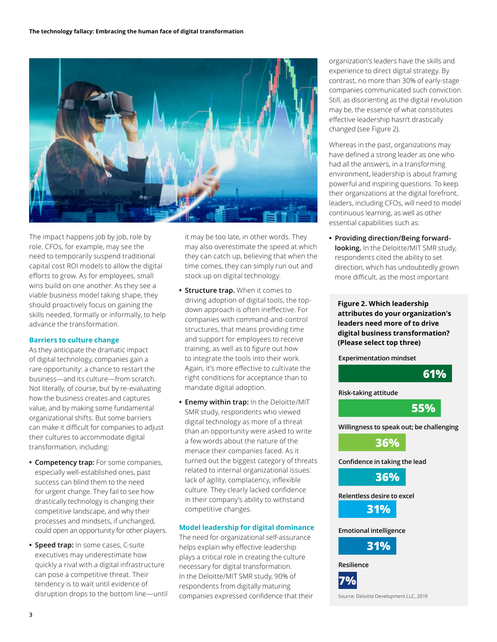

The impact happens job by job, role by role. CFOs, for example, may see the need to temporarily suspend traditional capital cost ROI models to allow the digital efforts to grow. As for employees, small wins build on one another. As they see a viable business model taking shape, they should proactively focus on gaining the skills needed, formally or informally, to help advance the transformation.

#### **Barriers to culture change**

As they anticipate the dramatic impact of digital technology, companies gain a rare opportunity: a chance to restart the business—and its culture—from scratch. Not literally, of course, but by re-evaluating how the business creates and captures value, and by making some fundamental organizational shifts. But some barriers can make it difficult for companies to adjust their cultures to accommodate digital transformation, including:

- **• Competency trap:** For some companies, especially well-established ones, past success can blind them to the need for urgent change. They fail to see how drastically technology is changing their competitive landscape, and why their processes and mindsets, if unchanged, could open an opportunity for other players.
- **• Speed trap:** In some cases, C-suite executives may underestimate how quickly a rival with a digital infrastructure can pose a competitive threat. Their tendency is to wait until evidence of disruption drops to the bottom line—until

it may be too late, in other words. They may also overestimate the speed at which they can catch up, believing that when the time comes, they can simply run out and stock up on digital technology.

- **• Structure trap.** When it comes to driving adoption of digital tools, the topdown approach is often ineffective. For companies with command-and-control structures, that means providing time and support for employees to receive training, as well as to figure out how to integrate the tools into their work. Again, it's more effective to cultivate the right conditions for acceptance than to mandate digital adoption.
- **• Enemy within trap:** In the Deloitte/MIT SMR study, respondents who viewed digital technology as more of a threat than an opportunity were asked to write a few words about the nature of the menace their companies faced. As it turned out the biggest category of threats related to internal organizational issues: lack of agility, complacency, inflexible culture. They clearly lacked confidence in their company's ability to withstand competitive changes.

#### **Model leadership for digital dominance**

The need for organizational self-assurance helps explain why effective leadership plays a critical role in creating the culture necessary for digital transformation. In the Deloitte/MIT SMR study, 90% of respondents from digitally maturing companies expressed confidence that their organization's leaders have the skills and experience to direct digital strategy. By contrast, no more than 30% of early-stage companies communicated such conviction. Still, as disorienting as the digital revolution may be, the essence of what constitutes effective leadership hasn't drastically changed (see Figure 2).

Whereas in the past, organizations may have defined a strong leader as one who had all the answers, in a transforming environment, leadership is about framing powerful and inspiring questions. To keep their organizations at the digital forefront, leaders, including CFOs, will need to model continuous learning, as well as other essential capabilities such as:

**• Providing direction/Being forwardlooking.** In the Deloitte/MIT SMR study, respondents cited the ability to set direction, which has undoubtedly grown more difficult, as the most important

**Figure 2. Which leadership attributes do your organization's leaders need more of to drive digital business transformation? (Please select top three)**

**Experimentation mindset**

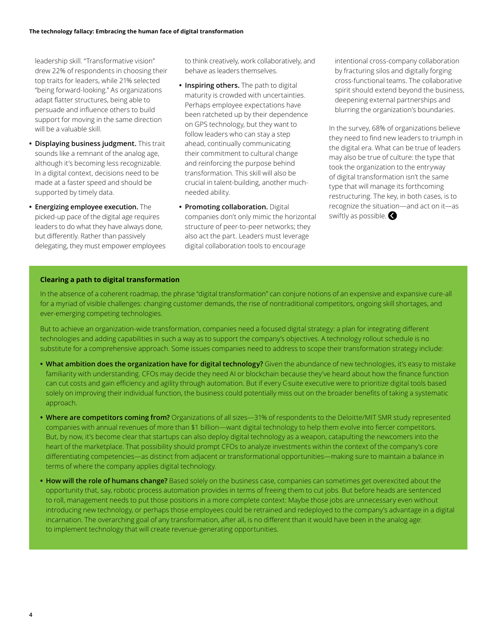leadership skill. "Transformative vision" drew 22% of respondents in choosing their top traits for leaders, while 21% selected "being forward-looking." As organizations adapt flatter structures, being able to persuade and influence others to build support for moving in the same direction will be a valuable skill.

- **• Displaying business judgment.** This trait sounds like a remnant of the analog age, although it's becoming less recognizable. In a digital context, decisions need to be made at a faster speed and should be supported by timely data.
- **• Energizing employee execution.** The picked-up pace of the digital age requires leaders to do what they have always done, but differently. Rather than passively delegating, they must empower employees

to think creatively, work collaboratively, and behave as leaders themselves.

- **• Inspiring others.** The path to digital maturity is crowded with uncertainties. Perhaps employee expectations have been ratcheted up by their dependence on GPS technology, but they want to follow leaders who can stay a step ahead, continually communicating their commitment to cultural change and reinforcing the purpose behind transformation. This skill will also be crucial in talent-building, another muchneeded ability.
- **• Promoting collaboration.** Digital companies don't only mimic the horizontal structure of peer-to-peer networks; they also act the part. Leaders must leverage digital collaboration tools to encourage

intentional cross-company collaboration by fracturing silos and digitally forging cross-functional teams. The collaborative spirit should extend beyond the business, deepening external partnerships and blurring the organization's boundaries.

In the survey, 68% of organizations believe they need to find new leaders to triumph in the digital era. What can be true of leaders may also be true of culture: the type that took the organization to the entryway of digital transformation isn't the same type that will manage its forthcoming restructuring. The key, in both cases, is to recognize the situation—and act on it—as swiftly as possible.

#### **Clearing a path to digital transformation**

In the absence of a coherent roadmap, the phrase "digital transformation" can conjure notions of an expensive and expansive cure-all for a myriad of visible challenges: changing customer demands, the rise of nontraditional competitors, ongoing skill shortages, and ever-emerging competing technologies.

But to achieve an organization-wide transformation, companies need a focused digital strategy: a plan for integrating different technologies and adding capabilities in such a way as to support the company's objectives. A technology rollout schedule is no substitute for a comprehensive approach. Some issues companies need to address to scope their transformation strategy include:

- **• What ambition does the organization have for digital technology?** Given the abundance of new technologies, it's easy to mistake familiarity with understanding. CFOs may decide they need AI or blockchain because they've heard about how the finance function can cut costs and gain efficiency and agility through automation. But if every C-suite executive were to prioritize digital tools based solely on improving their individual function, the business could potentially miss out on the broader benefits of taking a systematic approach.
- **• Where are competitors coming from?** Organizations of all sizes—31% of respondents to the Deloitte/MIT SMR study represented companies with annual revenues of more than \$1 billion—want digital technology to help them evolve into fiercer competitors. But, by now, it's become clear that startups can also deploy digital technology as a weapon, catapulting the newcomers into the heart of the marketplace. That possibility should prompt CFOs to analyze investments within the context of the company's core differentiating competencies—as distinct from adjacent or transformational opportunities—making sure to maintain a balance in terms of where the company applies digital technology.
- **• How will the role of humans change?** Based solely on the business case, companies can sometimes get overexcited about the opportunity that, say, robotic process automation provides in terms of freeing them to cut jobs. But before heads are sentenced to roll, management needs to put those positions in a more complete context: Maybe those jobs are unnecessary even without introducing new technology, or perhaps those employees could be retrained and redeployed to the company's advantage in a digital incarnation. The overarching goal of any transformation, after all, is no different than it would have been in the analog age: to implement technology that will create revenue-generating opportunities.